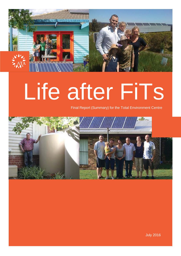

# Life after FiTs

Final Report (Summary) for the Total Environment Centre



July 2016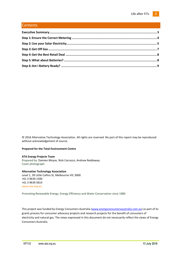### **Contents**

© 2016 Alternative Technology Association. All rights are reserved. No part of this report may be reproduced without acknowledgement of source.

#### **Prepared for the Total Environment Centre**

#### **ATA Energy Projects Team**

Prepared by: Damien Moyse, Nick Carrazzo, Andrew Reddaway Cover photograph:

#### **Alternative Technology Association** Level 1, 39 Little Collins St, Melbourne VIC 3000 +61 3 9639 1500 +61 3 9639 5814 [www.ata.org.au](file://///ataserv02/files/7%20Policy%20and%20Projects/Energy/Reference%20Docs/www.ata.org.au)

Promoting Renewable Energy, Energy Efficiency and Water Conservation since 1980

This project was funded by Energy Consumers Australia [\(www.energyconsumersaustralia.com.au\)](http://www.energyconsumersaustralia.com.au/) as part of its grants process for consumer advocacy projects and research projects for the benefit of consumers of electricity and natural gas. The views expressed in this document do not necessarily reflect the views of Energy Consumers Australia.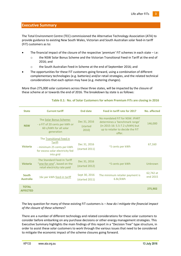### <span id="page-2-0"></span>**Executive Summary**

The Total Environment Centre (TEC) commissioned the Alternative Technology Association (ATA) to provide guidance to existing New South Wales, Victorian and South Australian solar feed-in tariff (FiT) customers as to:

- The financial impact of the closure of the respective 'premium' FiT schemes in each state i.e:
	- o the NSW Solar Bonus Scheme and the Victorian Transitional Feed-in Tariff at the end of 2016; and
	- o the South Australian Feed-in Scheme at the end of September 2016; and
- The opportunities for these FiT customers going forward, using a combination of different complementary technologies (e.g. batteries) and/or retail strategies, and the related technical considerations that each option may have (e.g. metering changes).

More than 275,000 solar customers across these three states, will be impacted by the closure of these scheme at or towards the end of 2016. The breakdown by state is as follows:

| <b>State</b>                     | <b>Current tariff</b>                                                                                              | <b>End date</b>                   | Feed in tariff rate for 2017                                                                                                                      | No. affected          |
|----------------------------------|--------------------------------------------------------------------------------------------------------------------|-----------------------------------|---------------------------------------------------------------------------------------------------------------------------------------------------|-----------------------|
| <b>NSW</b>                       | The Solar Bonus Scheme:<br>- a FiT of 20 cents per kWh or<br>60 c/kWh for all solar<br>generation                  | Dec 31, 2016<br>(started<br>2010) | No mandated FIT for NSW. IPART<br>determines a 'benchmark range'<br>(in 2015-16: 5.5-7.2 c/kWh) but<br>up to retailer to decide the FiT<br>offer. | 146,000               |
| <b>Victoria</b>                  | The Transitional Feed in<br>Tariff:<br>- minimum 25 cents per kWh<br>for excess solar electricity fed<br>into grid | Dec 31, 2016<br>(started 2011)    | ~5 cents per kWh                                                                                                                                  | 67,160                |
| <b>Victoria</b>                  | The Standard Feed-In Tariff<br>"one-for-one", based on the<br>retail electricity rate paid                         | Dec 31, 2016<br>(started 2012)    | ~5 cents per kWh                                                                                                                                  | Unknown               |
| <b>South</b><br><b>Australia</b> | 16c per kWh feed-in tariff                                                                                         | Sept 30, 2016<br>(stated 2011)    | The minimum retailer payment is<br>6.8c/kWh                                                                                                       | 62,742 at<br>end 2015 |
| <b>TOTAL</b><br><b>AFFECTED</b>  |                                                                                                                    |                                   |                                                                                                                                                   | 275,902               |

#### **Table 0.1: No. of Solar Customers for whom Premium FiTs are closing in 2016**

The key question for many of these existing FiT customers is – *how do I mitigate the financial impact of the closure of these schemes*?

There are a number of different technology and related considerations for these solar customers to consider before embarking on any purchase decisions or other energy management strategies. This Executive Summary highlights the main findings of this report in a "Decision Tree" type structure, in order to assist these solar customers to work through the various issues that need to be considered to mitigate the economic impact of the scheme closures going forward.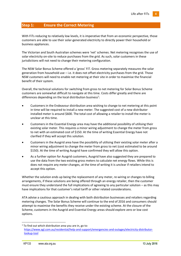# <span id="page-3-0"></span>**Step 1: Ensure the Correct Metering**

With FiTs reducing to relatively low levels, it is imperative that from an economic perspective, those customers are able to use their solar-generated electricity to directly power their household or business appliances.

The Victorian and South Australian schemes were 'net' schemes. Net metering recognises the use of solar electricity on-site to reduce purchases from the grid. As such, solar customers in these jurisdictions will not need to change their metering configuration.

The NSW Solar Bonus Scheme offered a 'gross' FiT. Gross metering separately measures the solar generation from household use – i.e. it does not offset electricity purchases from the grid. Those NSW customers will need to enable net metering at their site in order to maximise the financial benefit of their system.

Overall, the technical solutions for switching from gross to net metering for Solar Bonus Scheme customers are somewhat difficult to navigate at this time. Costs differ greatly and there are differences depending on the local distribution business<sup>1</sup>:

- Customers in the Endeavour distribution area wishing to change to net metering at this point in time will be required to install a new meter. The suggested cost of a new distributor installed meter is around \$600. The total cost of allowing a retailer to install the meter is unclear at this time.
- Customers in the Essential Energy area may have the additional possibility of utilising their existing solar meter. This requires a minor wiring adjustment to change the meter from gross to net with an estimated cost of \$150. At the time of writing Essential Energy have not clarified if they will accept this solution.
- Customers in the Ausgrid area have the possibility of utilising their existing solar meter after a minor wiring adjustment to change the meter from gross to net (cost estimated to be around \$150). At the time of writing Ausgrid have confirmed they will allow this option.
- As a further option for Ausgrid customers, Ausgrid have also suggested they are prepared to use the data from the two existing gross meters to calculate net energy flows. While this is does not require any meter changes, at the time of writing it is unclear if retailers intend to accept this option.

Whether the solution ends up being the replacement of any meter, re-wiring or changes to billing arrangements, if these solutions are being offered through an energy retailer, then the customer must ensure they understand the full implications of agreeing to any particular solution – as this may have implications for that customer's retail tariff or other related considerations.

ATA advise a cautious approach in dealing with both distribution businesses and retailers regarding metering changes. The Solar Bonus Scheme will continue to the end of 2016 and consumers should attempt to maximise the benefits they receive under the existing scheme. At the closure of the Scheme, customers in the Ausgrid and Essential Energy areas should explore zero or low cost options.

 $1$  To find out which distribution area you are in, go to: [https://www.agl.com.au/residential/help-and-support/emergencies-and-outages/electricity-distributor](https://www.agl.com.au/residential/help-and-support/emergencies-and-outages/electricity-distributor-lookup-tool)[lookup-tool](https://www.agl.com.au/residential/help-and-support/emergencies-and-outages/electricity-distributor-lookup-tool)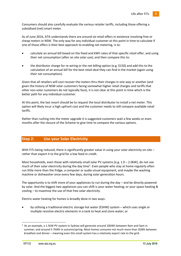Consumers should also carefully evaluate the various retailer tariffs, including those offering a subsidised (net) smart meter.

As of June 2016, ATA understands there are around six retail offers in existence involving free or cheap meters in NSW. The only way for any individual customer at this point in time to calculate if one of those offers is their best approach to enabling net metering, is to:

- calculate an annual bill based on the fixed and kWh rates of that specific retail offer, and using their net consumption (after on site solar use); and then compare this to:
- the distributor charge for re-wiring or the net billing option (e.g. \$150) and add this to the calculation of an annual bill for the best retail deal they can find in the market (again using their net consumption).

Given that all retailers will cost recover the meters thru their charges in one way or another (and given the history of NSW solar customers facing somewhat higher retail charges and tariffs that other non-solar customers do not typically face), it is not clear at this point in time which is the better path for any individual customer.

At this point, the last resort should be to request the local distributor to install a net meter. This option will likely incur a high upfront cost and the customer needs to still compare available retail tariffs.

Rather than rushing into the meter upgrade it is suggested customers wait a few weeks or even months after the closure of the Scheme to give time to compare the various options.

## <span id="page-4-0"></span>**Step 2: Use your Solar Electricity**

With FiTs being reduced, there is significantly greater value in using your solar electricity on-site – rather than export it to the grid for a low feed-in credit.

Most households, even those with relatively small solar PV systems (e.g. 1.0 – 2.0kW), do not use much of their solar electricity during the day time<sup>2</sup>. Even people who stay at home regularly often run little more than the fridge, a computer or audio-visual equipment, and maybe the washing machine or dishwasher once every few days, during solar generation hours.

The opportunity is to shift more of your appliances to run during the day – and be directly powered by solar. And the biggest two appliances you can shift is your water heating; or your space heating & cooling – to maximise the use of that free solar electricity.

Electric water heating for homes is broadly done in two ways:

 by utilising a traditional electric storage hot water (ESHW) system – which uses single or multiple resistive electric elements in a tank to heat and store water; or

<sup>&</sup>lt;sup>2</sup> As an example, a 1.5kW PV system in Sydney will generate around 10kWh between 9am and 5pm in summer; and around 5-7kWh in autumn/spring. Most homes consume not much more than 2kWh between breakfast and dinner – meaning even this small system has a relatively export rate to the grid.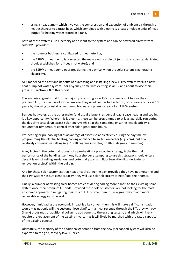using a heat pump – which involves the compression and expansion of ambient air through a heat exchanger to extract heat, which combined with electricity creates multiple units of heat output for heating water stored in a tank.

Both of these systems use electricity as an input to the system and can be powered directly from solar PV – provided:

- the home or business is configured for net metering;
- the ESHW or heat pump is connected the main electrical circuit (e.g. not a separate, dedicated circuit established for off-peak hot water); and
- the ESHW or heat pump operates during the day (i.e. when the solar system is generating electricity).

ATA modelled the cost and benefits of purchasing and installing a new ESHW system versus a new heat pump hot water system – for a Sydney home with existing solar PV and about to lose their gross FiT (**Section 5.0** of this report).

The analysis suggests that for the majority of existing solar PV customers about to lose their premium FiT, irrespective of PV system size, they would either be better off, or no worse off, over 10 years by choosing to install a heat pump hot water system instead of an ESHW system.

Besides hot water, as the other major (and usually larger) residential load, space heating and cooling is a key opportunity. Where this is electric, these can be programmed to at least partially run during the day time to soak up excess solar energy; whilst at the same time ensuring less electricity is required for temperature control after solar-generation hours.

Pre-heating or pre-cooling takes advantage of excess solar electricity during the daytime by programming the electric heating/cooling appliance to switch on earlier (e.g. 2pm), but at a relatively conservative setting (e.g. 16-18 degrees in winter; or 28-30 degrees in summer).

A key factor in the potential success of a pre-heating / pre-cooling strategy is the thermal performance of the building itself. Any householder attempting to use this strategy should ensure decent levels of ceiling insulation (and potentially wall and floor insulation if undertaking a renovation project) within the building.

And for those solar customers that heat or cool during the day, provided they have net metering and their PV system has sufficient capacity, they will use solar electricity to heat/cool their homes.

Finally, a number of existing solar homes are considering adding more panels to their existing solar system once their premium FiT ends. Provided those solar customers are not looking for the most economic approach to mitigating their loss of FiT income, then this is a great way to add more renewable energy into the grid.

However, if mitigating the economic impact is a key driver, then this will make a difficult situation worse – as not only will the customer lose significant annual revenue through the FiT, they will pay (likely) thousands of additional dollars to add panels to the existing system, and which will likely require the replacement of the existing inverter (as it will likely be matched with the rated capacity of the existing panels).

Ultimately, the majority of the additional generation from the newly expanded system will also be exported to the grid, for very low FiT price.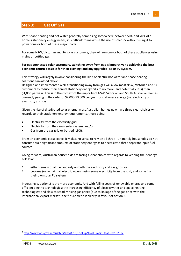# <span id="page-6-0"></span>**Step 3: Get Off Gas**

With space heating and hot water generally comprising somewhere between 50% and 70% of a home's stationery energy needs, it is difficult to maximise the use of solar PV without using it to power one or both of these major loads.

For some NSW, Victorian and SA solar customers, they will run one or both of these appliances using mains or bottled gas.

#### **For gas-connected solar customers, switching away from gas is imperative to achieving the best economic return possible for their existing (and any upgraded) solar PV system.**

This strategy will largely involve considering the kind of electric hot water and space heating solutions canvassed above.

Designed and implemented well, transitioning away from gas will allow most NSW, Victorian and SA customers to reduce their annual stationery energy bills to no more (and potentially less) than \$1,000 per year. This is in the context of the majority of NSW, Victorian and South Australian homes currently paying in the order of \$2,000-\$3,000 per year for stationery energy (i.e. electricity or electricity and gas) $3$ .

Given the rise of distributed solar energy, most Australian homes now have three clear choices with regards to their stationery energy requirements, those being:

- Electricity from the electricity grid;
- Electricity from their own solar system; and/or
- Gas from the gas grid or bottled (LPG).

From an economic perspective, it makes no sense to rely on all three - ultimately households do not consume such significant amounts of stationery energy as to necessitate three separate input fuel sources.

Going forward, Australian households are facing a clear choice with regards to keeping their energy bills low:

- 1. either remain dual fuel and rely on both the electricity and gas grids; or
- 2. become (or remain) all electric purchasing some electricity from the grid, and some from their own solar PV system.

Increasingly, option 2 is the more economic. And with falling costs of renewable energy and some efficient electric technologies; the increasing efficiency of electric water and space heating technologies; and slow to steadily rising gas prices (due to linkage of the gas price with the international export market), the future trend is clearly in favour of option 2.

<sup>3</sup> <http://www.abs.gov.au/ausstats/abs@.nsf/Lookup/4670.0main+features132012>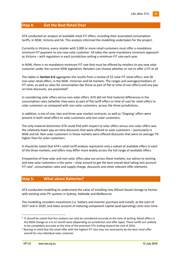# <span id="page-7-0"></span>**Step 4: Get the Best Retail Deal**

ATA conducted an analysis of available retail FiT offers, including their associated consumption tariffs, in NSW, Victoria and SA. This analysis informed the modelling undertaken for the project.

Currently in Victoria, every retailer with 5,000 or more retail customers must offer a mandatory minimum FiT payment to any new solar customer. SA takes the same mandatory minimum approach as Victoria – with regulators in each jurisdiction setting a minimum FiT rate each year.

In NSW, there is no mandatory minimum FiT rate that must be offered by retailers to any new solar customer under the current NSW legislation. Retailers can choose whether or not to offer a FiT at all.

The tables in **Section 6.0** aggregates the results from a review of 52 solar FiT retail offers; and 28 non-solar retail offers; in the NSW, Victorian and SA markets. The ranges and averages/medians of FiT rates, as well as rates for consumption (be those as part of flat or time of use offers) and any payon-time discounts, are presented<sup>4</sup>.

In considering solar offers versus non-solar offers, ATA did not find material differences in the consumption rates (whether they were as part of flat tariff offers or time of use) for retail offers to solar customers as compared with non-solar customers, across the three jurisdictions.

In addition, a mix of one, two and three year market contracts; as well as 'Ongoing' offers were present in both retail offers to solar customers and non-solar customers.

The only material distinction ATA could find with respect to solar offers versus non-solar offers was the relatively lower pay-on-time discounts that were offered to solar customers – particularly in NSW and SA. Non-solar customers in those markets were offered discounts that were on average 7% higher than for solar customers.

It should be noted that ATA's retail tariff analysis represents only a subset of available offers in each of the three markets; and offers may differ more widely across the full range of available offers.

Irrespective of how solar and non-solar offers play out across these markets, our advice to existing and new solar customers is the same – shop around to get the best overall deal taking into account FiT rate<sup>5</sup>, consumption rates and supply charge, discounts and other relevant offer elements.

## <span id="page-7-1"></span>**Step 5: What about Batteries?**

ATA conducted modelling to understand the value of installing new lithium-based storage to homes with existing solar PV systems in Sydney, Adelaide and Melbourne.

The modelling considers investment (i.e. battery and inverter purchase and install), at the start of 2017 and in 2020; and takes account of reducing component capital (and operating) costs over time.

<sup>&</sup>lt;sup>4</sup> It should be noted that this analysis can only be considered accurate at the time of writing. Retail offers in the NEM change on a 6-12 month basis (depending on jurisdiction and offer type). These tariffs are unlikely to be completely accurate at the time of the premium FiTs ending toward the end of 2016.

<sup>&</sup>lt;sup>5</sup> Bearing in mind that the retail offer with the highest FiT rate may not necessarily be the best retail offer overall for any individual solar customer.